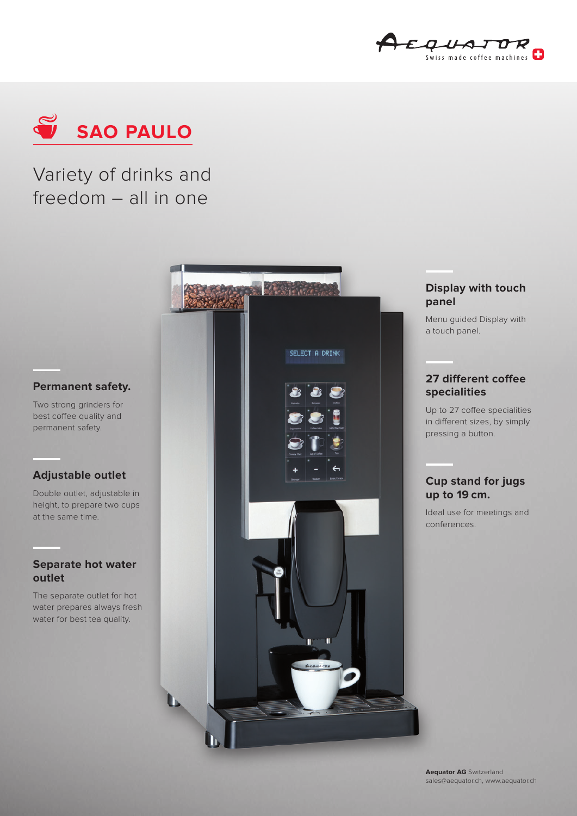



# Variety of drinks and freedom – all in one



Two strong grinders for best coffee quality and permanent safety.

#### **Adjustable outlet**

Double outlet, adjustable in height, to prepare two cups at the same time.

#### **Separate hot water outlet**

The separate outlet for hot water prepares always fresh water for best tea quality.



#### **Display with touch panel**

Menu guided Display with a touch panel.

## **27 different coffee specialities**

Up to 27 coffee specialities in different sizes, by simply pressing a button.

### **Cup stand for jugs up to 19 cm.**

Ideal use for meetings and conferences.